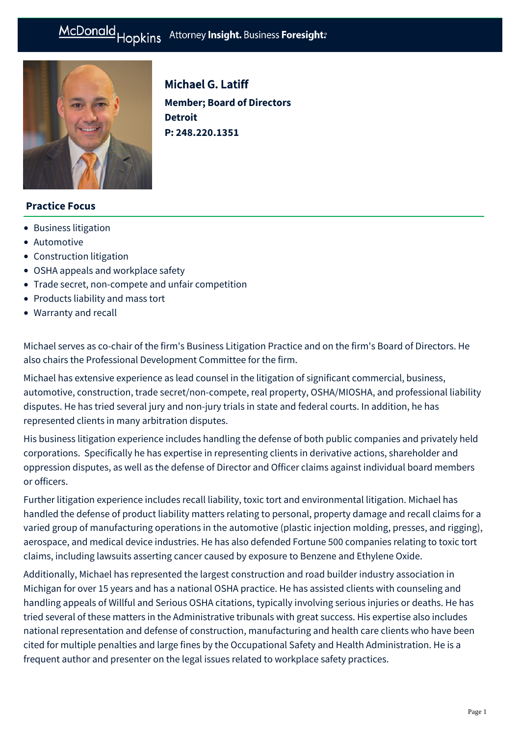# McDonald Hopkins Attorney Insight. Business Foresight:



Michael G. Latiff **Member; Board of Directors Detroit P: [248.220.1351](tel:248.220.1351)**

## **Practice Focus**

- [Business litigation](https://mcdonaldhopkins.com/Expertise/Litigation/Business-litigation)
- [Automotive](https://mcdonaldhopkins.com/Expertise/Industries/Automotive)
- [Construction litigation](https://mcdonaldhopkins.com/Expertise/Litigation/Construction-litigation)
- [OSHA appeals and workplace safety](https://mcdonaldhopkins.com/Expertise/Labor-and-employment/OSHA-appeals-and-workplace-safety)
- [Trade secret, non-compete and unfair competition](https://mcdonaldhopkins.com/Expertise/Litigation/Tradesecret-noncompete-unfair-competition)
- [Products liability and mass tort](https://mcdonaldhopkins.com/Expertise/Litigation/Products-liability-and-mass-tort)
- [Warranty and recall](https://mcdonaldhopkins.com/Expertise/Litigation/Warranty-and-recall)

Michael serves as co-chair of the firm's Business Litigation Practice and on the firm's Board of Directors. He also chairs the Professional Development Committee for the firm.

Michael has extensive experience as lead counsel in the litigation of significant commercial, business, automotive, construction, trade secret/non-compete, real property, OSHA/MIOSHA, and professional liability disputes. He has tried several jury and non-jury trials in state and federal courts. In addition, he has represented clients in many arbitration disputes.

His business litigation experience includes handling the defense of both public companies and privately held corporations. Specifically he has expertise in representing clients in derivative actions, shareholder and oppression disputes, as well as the defense of Director and Officer claims against individual board members or officers.

Further litigation experience includes recall liability, toxic tort and environmental litigation. Michael has handled the defense of product liability matters relating to personal, property damage and recall claims for a varied group of manufacturing operations in the automotive (plastic injection molding, presses, and rigging), aerospace, and medical device industries. He has also defended Fortune 500 companies relating to toxic tort claims, including lawsuits asserting cancer caused by exposure to Benzene and Ethylene Oxide.

Additionally, Michael has represented the largest construction and road builder industry association in Michigan for over 15 years and has a national OSHA practice. He has assisted clients with counseling and handling appeals of Willful and Serious OSHA citations, typically involving serious injuries or deaths. He has tried several of these matters in the Administrative tribunals with great success. His expertise also includes national representation and defense of construction, manufacturing and health care clients who have been cited for multiple penalties and large fines by the Occupational Safety and Health Administration. He is a frequent author and presenter on the legal issues related to workplace safety practices.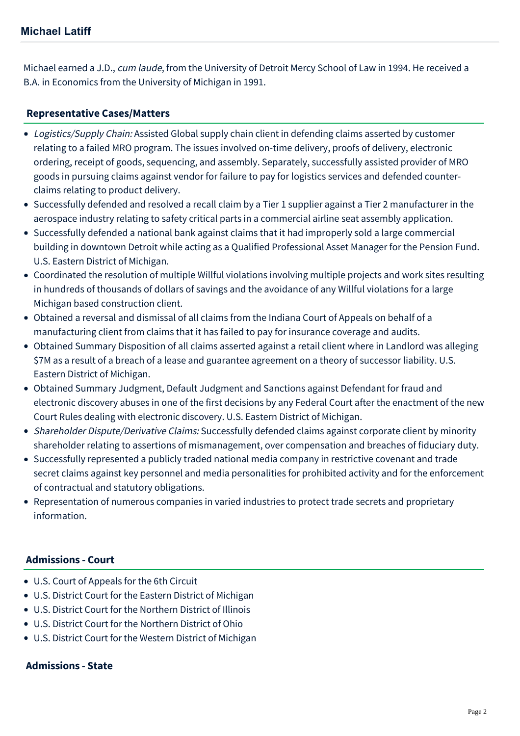Michael earned a J.D., cum laude, from the University of Detroit Mercy School of Law in 1994. He received a B.A. in Economics from the University of Michigan in 1991.

# **[Representative Cases/Matters](#page-1-0)**

- <span id="page-1-0"></span>• Logistics/Supply Chain: Assisted Global supply chain client in defending claims asserted by customer relating to a failed MRO program. The issues involved on-time delivery, proofs of delivery, electronic ordering, receipt of goods, sequencing, and assembly. Separately, successfully assisted provider of MRO goods in pursuing claims against vendor for failure to pay for logistics services and defended counterclaims relating to product delivery.
- Successfully defended and resolved a recall claim by a Tier 1 supplier against a Tier 2 manufacturer in the aerospace industry relating to safety critical parts in a commercial airline seat assembly application.
- Successfully defended a national bank against claims that it had improperly sold a large commercial building in downtown Detroit while acting as a Qualified Professional Asset Manager for the Pension Fund. U.S. Eastern District of Michigan.
- Coordinated the resolution of multiple Willful violations involving multiple projects and work sites resulting in hundreds of thousands of dollars of savings and the avoidance of any Willful violations for a large Michigan based construction client.
- Obtained a reversal and dismissal of all claims from the Indiana Court of Appeals on behalf of a manufacturing client from claims that it has failed to pay for insurance coverage and audits.
- Obtained Summary Disposition of all claims asserted against a retail client where in Landlord was alleging \$7M as a result of a breach of a lease and guarantee agreement on a theory of successor liability. U.S. Eastern District of Michigan.
- Obtained Summary Judgment, Default Judgment and Sanctions against Defendant for fraud and electronic discovery abuses in one of the first decisions by any Federal Court after the enactment of the new Court Rules dealing with electronic discovery. U.S. Eastern District of Michigan.
- Shareholder Dispute/Derivative Claims: Successfully defended claims against corporate client by minority shareholder relating to assertions of mismanagement, over compensation and breaches of fiduciary duty.
- Successfully represented a publicly traded national media company in restrictive covenant and trade secret claims against key personnel and media personalities for prohibited activity and for the enforcement of contractual and statutory obligations.
- Representation of numerous companies in varied industries to protect trade secrets and proprietary information.

# **Admissions - Court**

- U.S. Court of Appeals for the 6th Circuit
- U.S. District Court for the Eastern District of Michigan
- U.S. District Court for the Northern District of Illinois
- U.S. District Court for the Northern District of Ohio
- U.S. District Court for the Western District of Michigan

# **Admissions - State**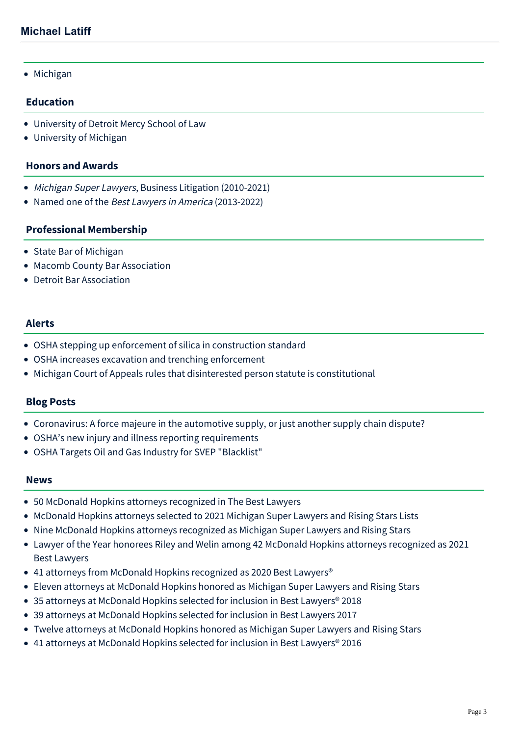• Michigan

## **Education**

- University of Detroit Mercy School of Law
- University of Michigan

#### **Honors and Awards**

- [Michigan Super Lawyers](http://www.superlawyers.com/michigan/lawyer/Michael-G-Latiff/6cb092c2-a29f-4171-9ef0-11c910246075.html), Business Litigation (2010-2021)
- Named one of the Best Lawyers in America (2013-2022)

## **Professional Membership**

- State Bar of Michigan
- Macomb County Bar Association
- Detroit Bar Association

## **Alerts**

- [OSHA stepping up enforcement of silica in construction standard](https://mcdonaldhopkins.com/Insights/November-2019/OSHA-stepping-up-enforcement-of-silica-in-cons-(1))
- [OSHA increases excavation and trenching enforcement](https://mcdonaldhopkins.com/Insights/October-2018/OSHA-increases-excavation-and-trenching-enforcemen)
- [Michigan Court of Appeals rules that disinterested person statute is constitutional](https://mcdonaldhopkins.com/Insights/June-2017/Michigan-Court-of-Appeals-rules-that-disinterested)

## **Blog Posts**

- [Coronavirus: A force majeure in the automotive supply, or just another supply chain dispute?](https://mcdonaldhopkins.com/Insights/March-2020/Coronavirus-Force-Majeure-in-the-Automotive-Supply)
- [OSHA's new injury and illness reporting requirements](https://mcdonaldhopkins.com/Insights/February-2018/OSHAs-new-injury-and-illness-reporting-requirement)
- [OSHA Targets Oil and Gas Industry for SVEP "Blacklist"](https://mcdonaldhopkins.com/Insights/May-2015/OSHA-Targets-Oil-and-Gas-Industry-for-SVEP-Blackl)

#### **News**

- [50 McDonald Hopkins attorneys recognized in The Best Lawyers](https://mcdonaldhopkins.com/Insights/August-2021/50-McDonald-Hopkins-attorneys-recognized-in-The-Be)
- [McDonald Hopkins attorneys selected to 2021 Michigan Super Lawyers and Rising Stars Lists](https://mcdonaldhopkins.com/Insights/August-2021/McDonald-Hopkins-attorneys-selected-to-2021-Michig)
- [Nine McDonald Hopkins attorneys recognized as Michigan Super Lawyers and Rising Stars](https://mcdonaldhopkins.com/Insights/September-2020/Nine-McDonald-Hopkins-attorneys-recognized-as-Mich)
- [Lawyer of the Year honorees Riley and Welin among 42 McDonald Hopkins attorneys recognized as 2021](https://mcdonaldhopkins.com/Insights/August-2020/Lawyer-of-the-Year-honorees-Riley-and-Welin-among) Best Lawyers
- 41 attorneys from McDonald Hopkins recognized as 2020 Best Lawyers<sup>®</sup>
- [Eleven attorneys at McDonald Hopkins honored as Michigan Super Lawyers and Rising Stars](https://mcdonaldhopkins.com/Insights/September-2017/Eleven-attorneys-at-McDonald-Hopkins-honored-a-(1))
- [35 attorneys at McDonald Hopkins selected for inclusion in Best Lawyers® 2018](https://mcdonaldhopkins.com/Insights/August-2017/35-attorneys-at-McDonald-Hopkins-selected-for-incl)
- [39 attorneys at McDonald Hopkins selected for inclusion in Best Lawyers 2017](https://mcdonaldhopkins.com/Insights/August-2016/39-attorneys-at-McDonald-Hopkins-selected-for-incl)
- [Twelve attorneys at McDonald Hopkins honored as Michigan Super Lawyers and Rising Stars](https://mcdonaldhopkins.com/Insights/September-2015/Twelve-attorneys-at-McDonald-Hopkins-honored-as-Mi)
- 41 attorneys at McDonald Hopkins selected for inclusion in Best Lawyers<sup>®</sup> 2016